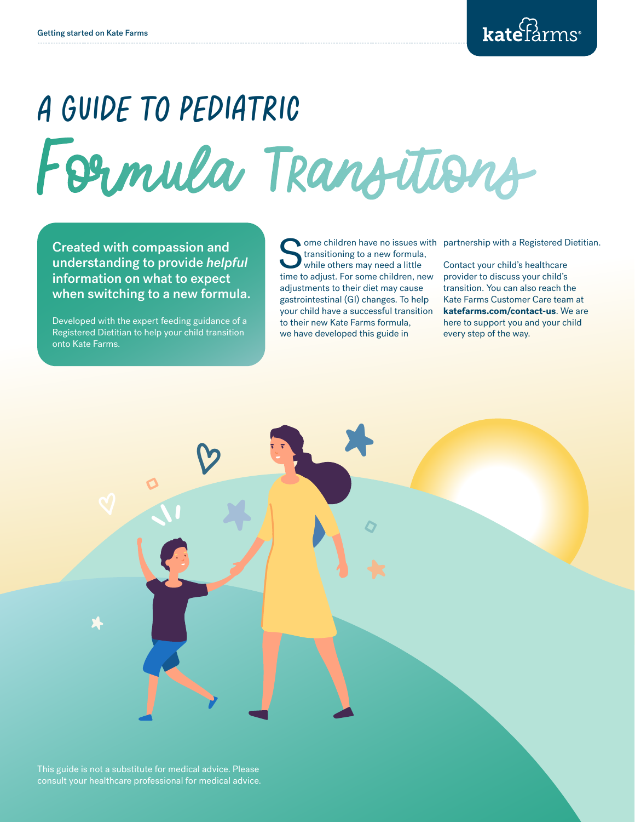# Formula Transitions A guide to pediatric

Created with compassion and understanding to provide *helpful* information on what to expect when switching to a new formula.

Developed with the expert feeding guidance of a Registered Dietitian to help your child transition onto Kate Farms.

 $\frac{1}{2}$ 

 $\blacklozenge$ 

 $\circ$ 

e

i

Some children have no issues with partnership with a Registered Dietitian.<br>
It consider the partnership with a Registered Dietitian.<br>
While others may need a little Contact your child's healthcare<br>
time to adjust For some transitioning to a new formula, while others may need a little time to adjust. For some children, new adjustments to their diet may cause gastrointestinal (GI) changes. To help your child have a successful transition to their new Kate Farms formula, we have developed this guide in

 $\bigstar$ 

 $\boldsymbol{Q}$ 

Contact your child's healthcare provider to discuss your child's transition. You can also reach the Kate Farms Customer Care team at **katefarms.com/contact-us**. We are here to support you and your child every step of the way.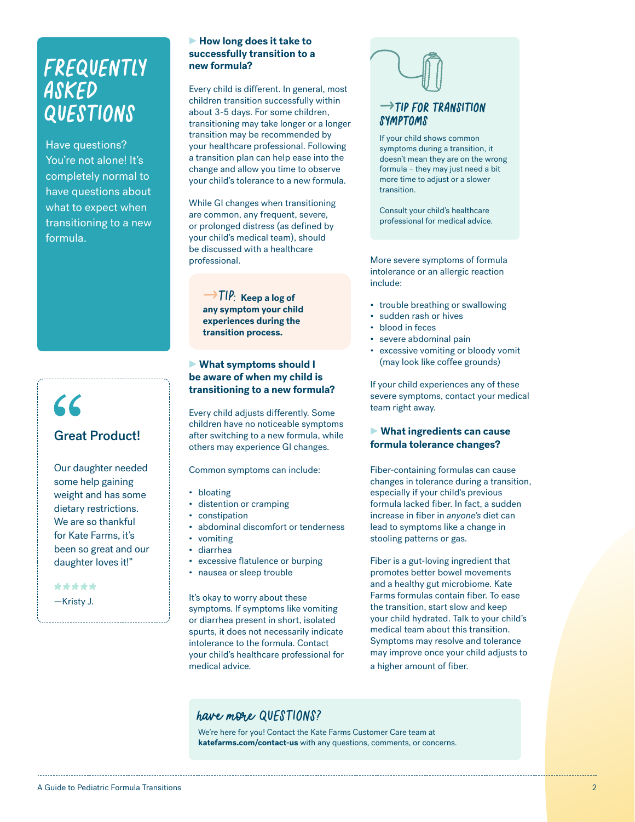## Frequently asked questions

Have questions? You're not alone! It's completely normal to have questions about what to expect when transitioning to a new formula.

## **CC** Great Product!

Our daughter needed some help gaining weight and has some dietary restrictions. We are so thankful for Kate Farms, it's been so great and our daughter loves it!"

—Kristy J. \*\*\*\*\*

#### **► How long does it take to successfully transition to a new formula?**

Every child is different. In general, most children transition successfully within about 3-5 days. For some children, transitioning may take longer or a longer transition may be recommended by your healthcare professional. Following a transition plan can help ease into the change and allow you time to observe your child's tolerance to a new formula.

While GI changes when transitioning are common, any frequent, severe, or prolonged distress (as defined by your child's medical team), should be discussed with a healthcare professional.

 $\rightarrow$  TIP: Keep a log of **any symptom your child experiences during the transition process.**

#### **► What symptoms should I be aware of when my child is transitioning to a new formula?**

Every child adjusts differently. Some children have no noticeable symptoms after switching to a new formula, while others may experience GI changes.

Common symptoms can include:

- bloating
- distention or cramping
- constipation
- abdominal discomfort or tenderness
- vomiting
- diarrhea
- excessive flatulence or burping
- nausea or sleep trouble

It's okay to worry about these symptoms. If symptoms like vomiting or diarrhea present in short, isolated spurts, it does not necessarily indicate intolerance to the formula. Contact your child's healthcare professional for medical advice.



If your child shows common symptoms during a transition, it doesn't mean they are on the wrong formula – they may just need a bit more time to adjust or a slower transition.

Consult your child's healthcare professional for medical advice.

More severe symptoms of formula intolerance or an allergic reaction include:

- trouble breathing or swallowing
- sudden rash or hives
- blood in feces
- severe abdominal pain
- excessive vomiting or bloody vomit (may look like coffee grounds)

If your child experiences any of these severe symptoms, contact your medical team right away.

#### **► What ingredients can cause formula tolerance changes?**

Fiber-containing formulas can cause changes in tolerance during a transition, especially if your child's previous formula lacked fiber. In fact, a sudden increase in fiber in *anyone's* diet can lead to symptoms like a change in stooling patterns or gas.

Fiber is a gut-loving ingredient that promotes better bowel movements and a healthy gut microbiome. Kate Farms formulas contain fiber. To ease the transition, start slow and keep your child hydrated. Talk to your child's medical team about this transition. Symptoms may resolve and tolerance may improve once your child adjusts to a higher amount of fiber.

#### have more QUESTIONS?

We're here for you! Contact the Kate Farms Customer Care team at **katefarms.com/contact-us** with any questions, comments, or concerns.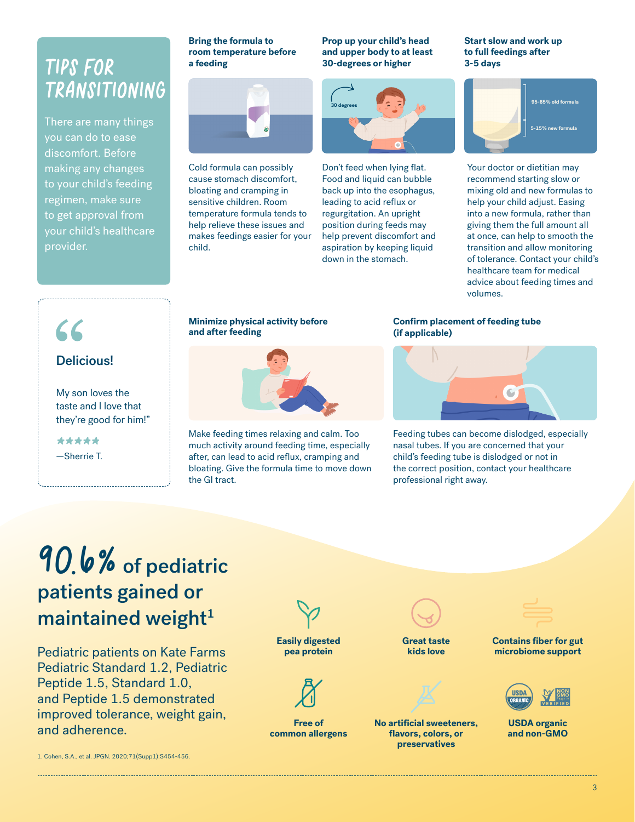## Tips for Transitioning

There are many things you can do to ease discomfort. Before making any changes to your child's feeding regimen, make sure to get approval from your child's healthcare provider.

#### **Bring the formula to room temperature before a feeding**



Cold formula can possibly cause stomach discomfort, bloating and cramping in sensitive children. Room temperature formula tends to help relieve these issues and makes feedings easier for your child.

**Prop up your child's head and upper body to at least 30-degrees or higher**



Don't feed when lying flat. Food and liquid can bubble back up into the esophagus, leading to acid reflux or regurgitation. An upright position during feeds may help prevent discomfort and aspiration by keeping liquid down in the stomach.

#### **Start slow and work up to full feedings after 3-5 days**



Your doctor or dietitian may recommend starting slow or mixing old and new formulas to help your child adjust. Easing into a new formula, rather than giving them the full amount all at once, can help to smooth the transition and allow monitoring of tolerance. Contact your child's healthcare team for medical advice about feeding times and volumes.

## $\mathcal{L}$

#### Delicious!

My son loves the taste and I love that they're good for him!"

—Sherrie T. \*\*\*\*\*

#### **Minimize physical activity before and after feeding**



Make feeding times relaxing and calm. Too much activity around feeding time, especially after, can lead to acid reflux, cramping and bloating. Give the formula time to move down the GI tract.

#### **Confirm placement of feeding tube (if applicable)**



Feeding tubes can become dislodged, especially nasal tubes. If you are concerned that your child's feeding tube is dislodged or not in the correct position, contact your healthcare professional right away.

## 90.6% of pediatric patients gained or maintained weight $1$

Pediatric patients on Kate Farms Pediatric Standard 1.2, Pediatric Peptide 1.5, Standard 1.0, and Peptide 1.5 demonstrated improved tolerance, weight gain, and adherence. **Free of** 

**Easily digested pea protein**

![](_page_2_Figure_24.jpeg)

**common allergens**

**Great taste kids love**

![](_page_2_Picture_27.jpeg)

**No artificial sweeteners, flavors, colors, or preservatives**

![](_page_2_Figure_29.jpeg)

**Contains fiber for gut microbiome support**

![](_page_2_Picture_31.jpeg)

**USDA organic and non-GMO**

1. Cohen, S.A., et al. JPGN. 2020;71(Supp1):S454-456.